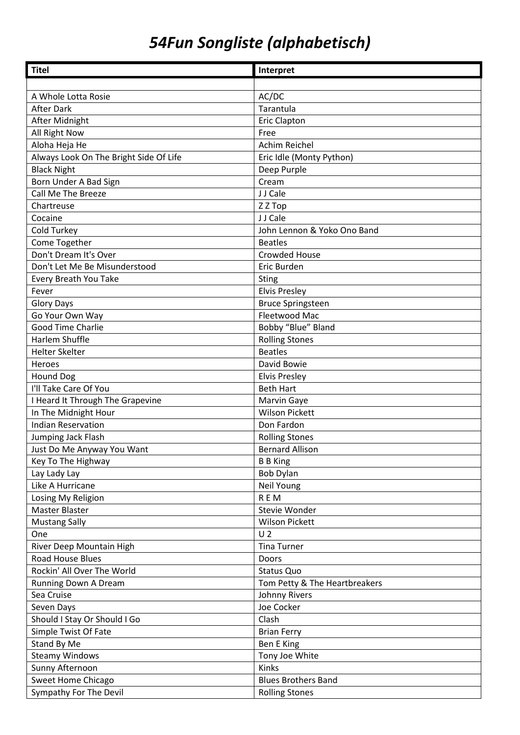## *54Fun Songliste (alphabetisch)*

| <b>Titel</b>                           | Interpret                     |
|----------------------------------------|-------------------------------|
|                                        |                               |
| A Whole Lotta Rosie                    | AC/DC                         |
| <b>After Dark</b>                      | Tarantula                     |
| After Midnight                         | <b>Eric Clapton</b>           |
| All Right Now                          | Free                          |
| Aloha Heja He                          | Achim Reichel                 |
| Always Look On The Bright Side Of Life | Eric Idle (Monty Python)      |
| <b>Black Night</b>                     | Deep Purple                   |
| Born Under A Bad Sign                  | Cream                         |
| Call Me The Breeze                     | J J Cale                      |
| Chartreuse                             | Z Z Top                       |
| Cocaine                                | J J Cale                      |
| Cold Turkey                            | John Lennon & Yoko Ono Band   |
| Come Together                          | <b>Beatles</b>                |
| Don't Dream It's Over                  | <b>Crowded House</b>          |
| Don't Let Me Be Misunderstood          | Eric Burden                   |
| Every Breath You Take                  | <b>Sting</b>                  |
| Fever                                  | <b>Elvis Presley</b>          |
| <b>Glory Days</b>                      | <b>Bruce Springsteen</b>      |
| Go Your Own Way                        | Fleetwood Mac                 |
| Good Time Charlie                      | Bobby "Blue" Bland            |
| Harlem Shuffle                         | <b>Rolling Stones</b>         |
| <b>Helter Skelter</b>                  | <b>Beatles</b>                |
| Heroes                                 | David Bowie                   |
| <b>Hound Dog</b>                       | <b>Elvis Presley</b>          |
| I'll Take Care Of You                  | <b>Beth Hart</b>              |
| I Heard It Through The Grapevine       | Marvin Gaye                   |
| In The Midnight Hour                   | <b>Wilson Pickett</b>         |
| <b>Indian Reservation</b>              | Don Fardon                    |
| Jumping Jack Flash                     | <b>Rolling Stones</b>         |
| Just Do Me Anyway You Want             | <b>Bernard Allison</b>        |
| Key To The Highway                     | <b>B B King</b>               |
| Lay Lady Lay                           | <b>Bob Dylan</b>              |
| Like A Hurricane                       | Neil Young                    |
| Losing My Religion                     | <b>REM</b>                    |
| Master Blaster                         | Stevie Wonder                 |
| <b>Mustang Sally</b>                   | <b>Wilson Pickett</b>         |
| One                                    | U <sub>2</sub>                |
| River Deep Mountain High               | <b>Tina Turner</b>            |
| <b>Road House Blues</b>                | Doors                         |
| Rockin' All Over The World             | Status Quo                    |
| Running Down A Dream                   | Tom Petty & The Heartbreakers |
| Sea Cruise                             | Johnny Rivers                 |
| Seven Days                             | Joe Cocker                    |
| Should I Stay Or Should I Go           | Clash                         |
| Simple Twist Of Fate                   | <b>Brian Ferry</b>            |
| Stand By Me                            | Ben E King                    |
| <b>Steamy Windows</b>                  | Tony Joe White                |
| Sunny Afternoon                        | Kinks                         |
| Sweet Home Chicago                     | <b>Blues Brothers Band</b>    |
| Sympathy For The Devil                 | <b>Rolling Stones</b>         |